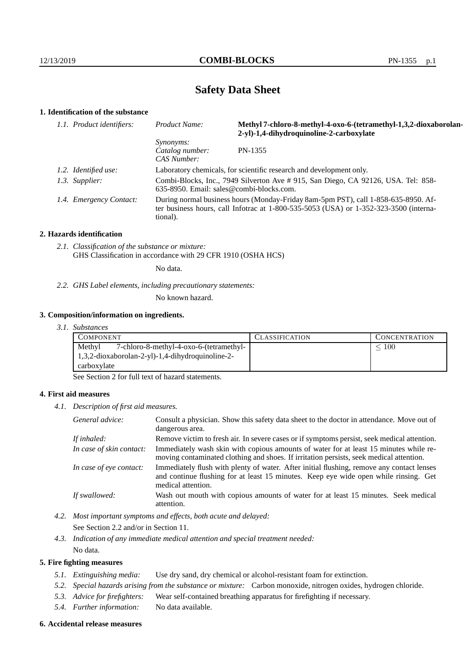# **Safety Data Sheet**

# **1. Identification of the substance**

| 1.1. Product identifiers: | Product Name:                                                                                                                                                                               | Methyl 7-chloro-8-methyl-4-oxo-6-(tetramethyl-1,3,2-dioxaborolan-<br>2-yl)-1,4-dihydroquinoline-2-carboxylate |
|---------------------------|---------------------------------------------------------------------------------------------------------------------------------------------------------------------------------------------|---------------------------------------------------------------------------------------------------------------|
|                           | <i>Synonyms:</i><br>Catalog number:<br>CAS Number:                                                                                                                                          | PN-1355                                                                                                       |
| 1.2. Identified use:      | Laboratory chemicals, for scientific research and development only.                                                                                                                         |                                                                                                               |
| 1.3. Supplier:            | Combi-Blocks, Inc., 7949 Silverton Ave # 915, San Diego, CA 92126, USA. Tel: 858-<br>635-8950. Email: sales@combi-blocks.com.                                                               |                                                                                                               |
| 1.4. Emergency Contact:   | During normal business hours (Monday-Friday 8am-5pm PST), call 1-858-635-8950. Af-<br>ter business hours, call Infotrac at $1-800-535-5053$ (USA) or $1-352-323-3500$ (interna-<br>tional). |                                                                                                               |

## **2. Hazards identification**

*2.1. Classification of the substance or mixture:* GHS Classification in accordance with 29 CFR 1910 (OSHA HCS)

No data.

*2.2. GHS Label elements, including precautionary statements:*

No known hazard.

# **3. Composition/information on ingredients.**

*3.1. Substances*

| COMPONENT                                           | <b>CLASSIFICATION</b> | <b>CONCENTRATION</b> |
|-----------------------------------------------------|-----------------------|----------------------|
| Methyl<br>7-chloro-8-methyl-4-oxo-6-(tetramethyl-   |                       | 100                  |
| $1,3,2$ -dioxaborolan-2-yl)-1,4-dihydroquinoline-2- |                       |                      |
| carboxylate                                         |                       |                      |

See Section 2 for full text of hazard statements.

# **4. First aid measures**

*4.1. Description of first aid measures.*

| General advice:          | Consult a physician. Show this safety data sheet to the doctor in attendance. Move out of<br>dangerous area.                                                                                            |
|--------------------------|---------------------------------------------------------------------------------------------------------------------------------------------------------------------------------------------------------|
| If inhaled:              | Remove victim to fresh air. In severe cases or if symptoms persist, seek medical attention.                                                                                                             |
| In case of skin contact: | Immediately wash skin with copious amounts of water for at least 15 minutes while re-<br>moving contaminated clothing and shoes. If irritation persists, seek medical attention.                        |
| In case of eye contact:  | Immediately flush with plenty of water. After initial flushing, remove any contact lenses<br>and continue flushing for at least 15 minutes. Keep eye wide open while rinsing. Get<br>medical attention. |
| If swallowed:            | Wash out mouth with copious amounts of water for at least 15 minutes. Seek medical<br>attention.                                                                                                        |

*4.2. Most important symptoms and effects, both acute and delayed:*

See Section 2.2 and/or in Section 11.

*4.3. Indication of any immediate medical attention and special treatment needed:* No data.

### **5. Fire fighting measures**

- *5.1. Extinguishing media:* Use dry sand, dry chemical or alcohol-resistant foam for extinction.
- *5.2. Special hazards arising from the substance or mixture:* Carbon monoxide, nitrogen oxides, hydrogen chloride.
- *5.3. Advice for firefighters:* Wear self-contained breathing apparatus for firefighting if necessary.
- *5.4. Further information:* No data available.

### **6. Accidental release measures**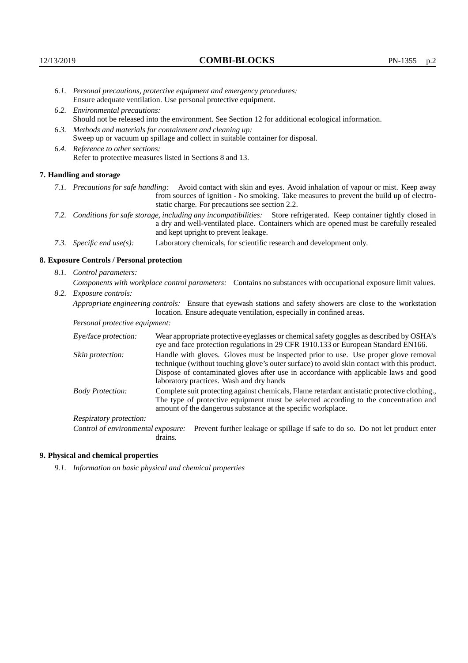- *6.1. Personal precautions, protective equipment and emergency procedures:* Ensure adequate ventilation. Use personal protective equipment.
- *6.2. Environmental precautions:* Should not be released into the environment. See Section 12 for additional ecological information.
- *6.3. Methods and materials for containment and cleaning up:* Sweep up or vacuum up spillage and collect in suitable container for disposal.
- *6.4. Reference to other sections:* Refer to protective measures listed in Sections 8 and 13.

#### **7. Handling and storage**

- *7.1. Precautions for safe handling:* Avoid contact with skin and eyes. Avoid inhalation of vapour or mist. Keep away from sources of ignition - No smoking. Take measures to prevent the build up of electrostatic charge. For precautions see section 2.2.
- *7.2. Conditions for safe storage, including any incompatibilities:* Store refrigerated. Keep container tightly closed in a dry and well-ventilated place. Containers which are opened must be carefully resealed and kept upright to prevent leakage.
- *7.3. Specific end use(s):* Laboratory chemicals, for scientific research and development only.

#### **8. Exposure Controls / Personal protection**

*8.1. Control parameters:*

*Components with workplace control parameters:* Contains no substances with occupational exposure limit values. *8.2. Exposure controls:*

*Appropriate engineering controls:* Ensure that eyewash stations and safety showers are close to the workstation

location. Ensure adequate ventilation, especially in confined areas.

*Personal protective equipment:*

| Eye/face protection:    | Wear appropriate protective eyeglasses or chemical safety goggles as described by OSHA's<br>eye and face protection regulations in 29 CFR 1910.133 or European Standard EN166.                                                                                                                                         |
|-------------------------|------------------------------------------------------------------------------------------------------------------------------------------------------------------------------------------------------------------------------------------------------------------------------------------------------------------------|
| Skin protection:        | Handle with gloves. Gloves must be inspected prior to use. Use proper glove removal<br>technique (without touching glove's outer surface) to avoid skin contact with this product.<br>Dispose of contaminated gloves after use in accordance with applicable laws and good<br>laboratory practices. Wash and dry hands |
| <b>Body Protection:</b> | Complete suit protecting against chemicals, Flame retardant antistatic protective clothing.,<br>The type of protective equipment must be selected according to the concentration and<br>amount of the dangerous substance at the specific workplace.                                                                   |
| Respiratory protection: |                                                                                                                                                                                                                                                                                                                        |

Control of environmental exposure: Prevent further leakage or spillage if safe to do so. Do not let product enter drains.

#### **9. Physical and chemical properties**

*9.1. Information on basic physical and chemical properties*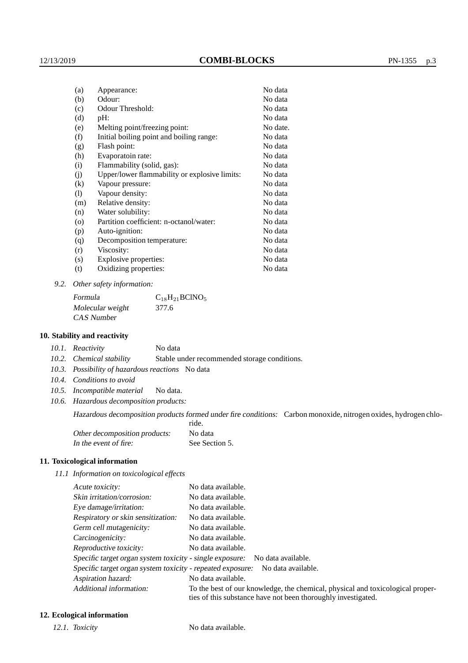| (a)                          | Appearance:                                   | No data  |
|------------------------------|-----------------------------------------------|----------|
| (b)                          | Odour:                                        | No data  |
| (c)                          | Odour Threshold:                              | No data  |
| (d)                          | $pH$ :                                        | No data  |
| (e)                          | Melting point/freezing point:                 | No date. |
| (f)                          | Initial boiling point and boiling range:      | No data  |
| (g)                          | Flash point:                                  | No data  |
| (h)                          | Evaporatoin rate:                             | No data  |
| (i)                          | Flammability (solid, gas):                    | No data  |
| (j)                          | Upper/lower flammability or explosive limits: | No data  |
| (k)                          | Vapour pressure:                              | No data  |
| $\left( \frac{1}{2} \right)$ | Vapour density:                               | No data  |
| (m)                          | Relative density:                             | No data  |
| (n)                          | Water solubility:                             | No data  |
| $\circ$                      | Partition coefficient: n-octanol/water:       | No data  |
| (p)                          | Auto-ignition:                                | No data  |
| (q)                          | Decomposition temperature:                    | No data  |
| (r)                          | Viscosity:                                    | No data  |
| (s)                          | Explosive properties:                         | No data  |
| (t)                          | Oxidizing properties:                         | No data  |
|                              |                                               |          |

*9.2. Other safety information:*

Formula  $C_{18}H_{21}BCINO_5$ Molecular weight 377.6 CAS Number

### **10. Stability and reactivity**

*10.1. Reactivity* No data

*10.2. Chemical stability* Stable under recommended storage conditions.

- *10.3. Possibility of hazardous reactions* No data
- *10.4. Conditions to avoid*
- *10.5. Incompatible material* No data.
- *10.6. Hazardous decomposition products:*

Hazardous decomposition products formed under fire conditions: Carbon monoxide, nitrogen oxides, hydrogen chlo-

|                               | ride.          |
|-------------------------------|----------------|
| Other decomposition products: | No data        |
| In the event of fire:         | See Section 5. |

### **11. Toxicological information**

*11.1 Information on toxicological effects*

| Acute toxicity:                                            | No data available.                                                                                                                              |
|------------------------------------------------------------|-------------------------------------------------------------------------------------------------------------------------------------------------|
| Skin irritation/corrosion:                                 | No data available.                                                                                                                              |
| Eye damage/irritation:                                     | No data available.                                                                                                                              |
| Respiratory or skin sensitization:                         | No data available.                                                                                                                              |
| Germ cell mutagenicity:                                    | No data available.                                                                                                                              |
| Carcinogenicity:                                           | No data available.                                                                                                                              |
| Reproductive toxicity:                                     | No data available.                                                                                                                              |
| Specific target organ system toxicity - single exposure:   | No data available.                                                                                                                              |
| Specific target organ system toxicity - repeated exposure: | No data available.                                                                                                                              |
| Aspiration hazard:                                         | No data available.                                                                                                                              |
| Additional information:                                    | To the best of our knowledge, the chemical, physical and toxicological proper-<br>ties of this substance have not been thoroughly investigated. |

### **12. Ecological information**

*12.1. Toxicity* No data available.